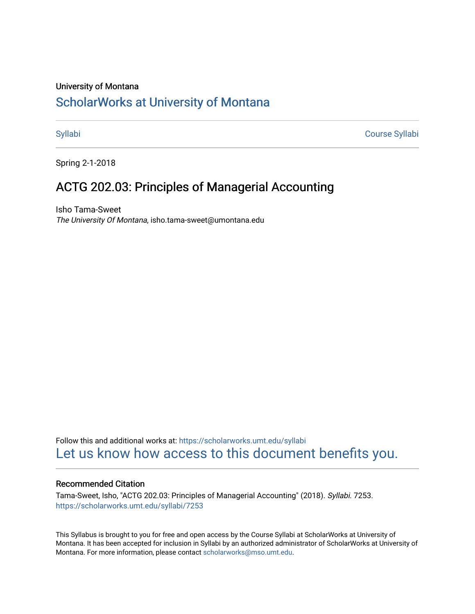#### University of Montana

# [ScholarWorks at University of Montana](https://scholarworks.umt.edu/)

[Syllabi](https://scholarworks.umt.edu/syllabi) [Course Syllabi](https://scholarworks.umt.edu/course_syllabi) 

Spring 2-1-2018

# ACTG 202.03: Principles of Managerial Accounting

Isho Tama-Sweet The University Of Montana, isho.tama-sweet@umontana.edu

Follow this and additional works at: [https://scholarworks.umt.edu/syllabi](https://scholarworks.umt.edu/syllabi?utm_source=scholarworks.umt.edu%2Fsyllabi%2F7253&utm_medium=PDF&utm_campaign=PDFCoverPages)  [Let us know how access to this document benefits you.](https://goo.gl/forms/s2rGfXOLzz71qgsB2) 

#### Recommended Citation

Tama-Sweet, Isho, "ACTG 202.03: Principles of Managerial Accounting" (2018). Syllabi. 7253. [https://scholarworks.umt.edu/syllabi/7253](https://scholarworks.umt.edu/syllabi/7253?utm_source=scholarworks.umt.edu%2Fsyllabi%2F7253&utm_medium=PDF&utm_campaign=PDFCoverPages)

This Syllabus is brought to you for free and open access by the Course Syllabi at ScholarWorks at University of Montana. It has been accepted for inclusion in Syllabi by an authorized administrator of ScholarWorks at University of Montana. For more information, please contact [scholarworks@mso.umt.edu.](mailto:scholarworks@mso.umt.edu)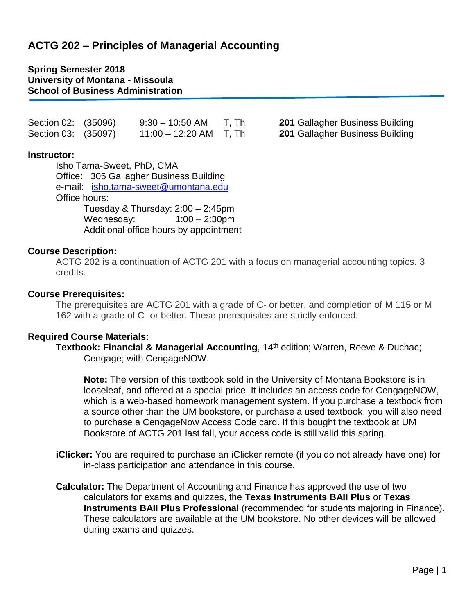# **ACTG 202 – Principles of Managerial Accounting**

### **Spring Semester 2018 University of Montana - Missoula School of Business Administration**

| Section 02: (35096) | $9:30 - 10:50$ AM  | T, Th |
|---------------------|--------------------|-------|
| Section 03: (35097) | $11:00 - 12:20$ AM | T, Th |

### **Instructor:**

 Isho Tama-Sweet, PhD, CMA Office: 305 Gallagher Business Building e-mail: [isho.tama-sweet@umontana.edu](mailto:isho.tama-sweet@umontana.edu) Office hours: Tuesday & Thursday: 2:00 – 2:45pm Wednesday: 1:00 – 2:30pm Additional office hours by appointment

### **Course Description:**

ACTG 202 is a continuation of ACTG 201 with a focus on managerial accounting topics. 3 credits.

**201 Gallagher Business Building 201 Gallagher Business Building** 

### **Course Prerequisites:**

The prerequisites are ACTG 201 with a grade of C- or better, and completion of M 115 or M 162 with a grade of C- or better. These prerequisites are strictly enforced.

#### **Required Course Materials:**

**Textbook: Financial & Managerial Accounting**, 14<sup>th</sup> edition; Warren, Reeve & Duchac; Cengage; with CengageNOW.

**Note:** The version of this textbook sold in the University of Montana Bookstore is in looseleaf, and offered at a special price. It includes an access code for CengageNOW, which is a web-based homework management system. If you purchase a textbook from a source other than the UM bookstore, or purchase a used textbook, you will also need to purchase a CengageNow Access Code card. If this bought the textbook at UM Bookstore of ACTG 201 last fall, your access code is still valid this spring.

- **iClicker:** You are required to purchase an iClicker remote (if you do not already have one) for in-class participation and attendance in this course.
- **Calculator:** The Department of Accounting and Finance has approved the use of two calculators for exams and quizzes, the **Texas Instruments BAII Plus** or **Texas Instruments BAII Plus Professional** (recommended for students majoring in Finance). These calculators are available at the UM bookstore. No other devices will be allowed during exams and quizzes.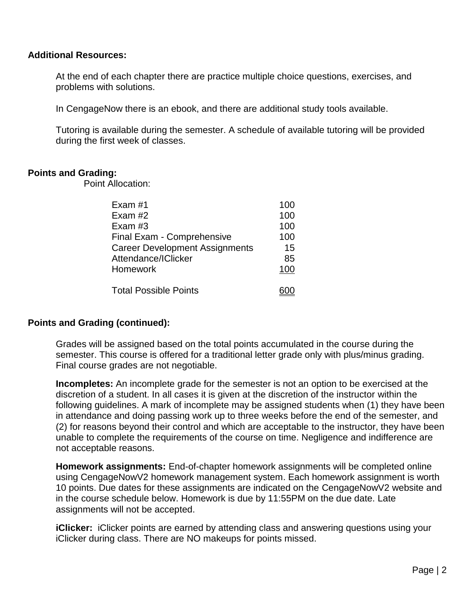### **Additional Resources:**

At the end of each chapter there are practice multiple choice questions, exercises, and problems with solutions.

In CengageNow there is an ebook, and there are additional study tools available.

Tutoring is available during the semester. A schedule of available tutoring will be provided during the first week of classes.

## **Points and Grading:**

Point Allocation:

| Exam #1                               | 100 |
|---------------------------------------|-----|
| Exam #2                               | 100 |
| Exam $#3$                             | 100 |
| Final Exam - Comprehensive            | 100 |
| <b>Career Development Assignments</b> | 15  |
| Attendance/IClicker                   | 85  |
| Homework                              | 100 |
| <b>Total Possible Points</b>          |     |

## **Points and Grading (continued):**

 Grades will be assigned based on the total points accumulated in the course during the semester. This course is offered for a traditional letter grade only with plus/minus grading. Final course grades are not negotiable.

**Incompletes:** An incomplete grade for the semester is not an option to be exercised at the discretion of a student. In all cases it is given at the discretion of the instructor within the following guidelines. A mark of incomplete may be assigned students when (1) they have been in attendance and doing passing work up to three weeks before the end of the semester, and (2) for reasons beyond their control and which are acceptable to the instructor, they have been unable to complete the requirements of the course on time. Negligence and indifference are not acceptable reasons.

**Homework assignments:** End-of-chapter homework assignments will be completed online using CengageNowV2 homework management system. Each homework assignment is worth 10 points. Due dates for these assignments are indicated on the CengageNowV2 website and in the course schedule below. Homework is due by 11:55PM on the due date. Late assignments will not be accepted.

**iClicker:** iClicker points are earned by attending class and answering questions using your iClicker during class. There are NO makeups for points missed.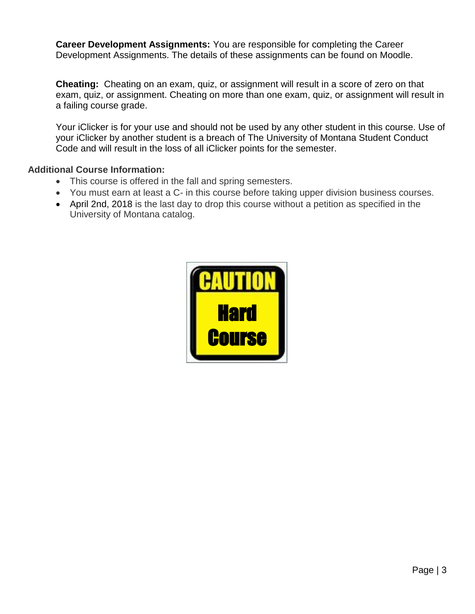**Career Development Assignments:** You are responsible for completing the Career Development Assignments. The details of these assignments can be found on Moodle.

**Cheating:** Cheating on an exam, quiz, or assignment will result in a score of zero on that exam, quiz, or assignment. Cheating on more than one exam, quiz, or assignment will result in a failing course grade.

Your iClicker is for your use and should not be used by any other student in this course. Use of your iClicker by another student is a breach of The University of Montana Student Conduct Code and will result in the loss of all iClicker points for the semester.

## **Additional Course Information:**

- This course is offered in the fall and spring semesters.
- You must earn at least a C- in this course before taking upper division business courses.
- April 2nd, 2018 is the last day to drop this course without a petition as specified in the University of Montana catalog.

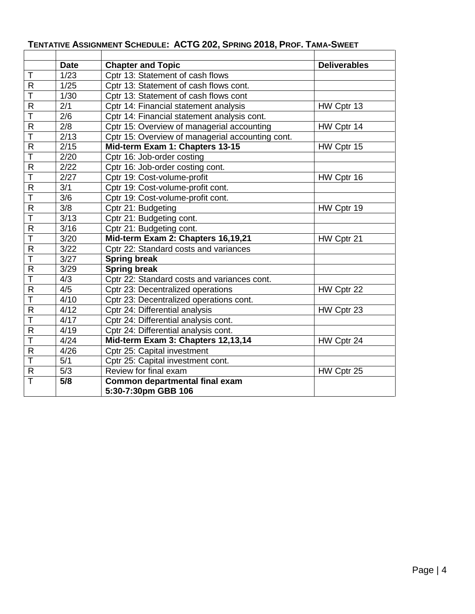|                         | <b>Date</b>   | <b>Chapter and Topic</b>                              | <b>Deliverables</b> |
|-------------------------|---------------|-------------------------------------------------------|---------------------|
| T                       | 1/23          | Cptr 13: Statement of cash flows                      |                     |
| $\mathsf{R}$            | 1/25          | Cptr 13: Statement of cash flows cont.                |                     |
| T                       | 1/30          | Cptr 13: Statement of cash flows cont                 |                     |
| $\overline{R}$          | 2/1           | Cptr 14: Financial statement analysis                 | HW Cptr 13          |
| $\overline{\mathsf{T}}$ | 2/6           | Cptr 14: Financial statement analysis cont.           |                     |
| $\mathsf{R}$            | 2/8           | Cptr 15: Overview of managerial accounting            | HW Cptr 14          |
| T                       | 2/13          | Cptr 15: Overview of managerial accounting cont.      |                     |
| $\overline{R}$          | 2/15          | Mid-term Exam 1: Chapters 13-15                       | HW Cptr 15          |
| Ŧ                       | $\sqrt{2/20}$ | Cptr 16: Job-order costing                            |                     |
| $\mathsf{R}$            | 2/22          | Cptr 16: Job-order costing cont.                      |                     |
| $\overline{\mathsf{T}}$ | 2/27          | Cptr 19: Cost-volume-profit                           | HW Cptr 16          |
| $\mathsf{R}$            | 3/1           | Cptr 19: Cost-volume-profit cont.                     |                     |
| $\overline{\mathsf{T}}$ | 3/6           | Cptr 19: Cost-volume-profit cont.                     |                     |
| $\mathsf{R}$            | 3/8           | Cptr 21: Budgeting                                    | HW Cptr 19          |
| $\overline{\top}$       | 3/13          | Cptr 21: Budgeting cont.                              |                     |
| $\mathsf{R}$            | 3/16          | Cptr 21: Budgeting cont.                              |                     |
| T                       | 3/20          | Mid-term Exam 2: Chapters 16,19,21                    | HW Cptr 21          |
| $\mathsf{R}$            | 3/22          | Cptr 22: Standard costs and variances                 |                     |
| $\overline{\top}$       | 3/27          | <b>Spring break</b>                                   |                     |
| $\mathsf R$             | 3/29          | Spring break                                          |                     |
| T                       | 4/3           | Cptr 22: Standard costs and variances cont.           |                     |
| $\overline{R}$          | 4/5           | Cptr 23: Decentralized operations                     | HW Cptr 22          |
| Ŧ                       | 4/10          | Cptr 23: Decentralized operations cont.               |                     |
| $\mathsf{R}$            | 4/12          | Cptr 24: Differential analysis                        | HW Cptr 23          |
| Ŧ                       | 4/17          | Cptr 24: Differential analysis cont.                  |                     |
| $\mathsf{R}$            | 4/19          | Cptr 24: Differential analysis cont.                  |                     |
| T                       | 4/24          | Mid-term Exam 3: Chapters 12,13,14                    | HW Cptr 24          |
| $\mathsf{R}$            | 4/26          | Cptr 25: Capital investment                           |                     |
| $\overline{\top}$       | 5/1           | Cptr 25: Capital investment cont.                     |                     |
| $\mathsf{R}$            | 5/3           | Review for final exam                                 | HW Cptr 25          |
| T                       | 5/8           | Common departmental final exam<br>5:30-7:30pm GBB 106 |                     |

# **TENTATIVE ASSIGNMENT SCHEDULE: ACTG 202, SPRING 2018, PROF. TAMA-SWEET**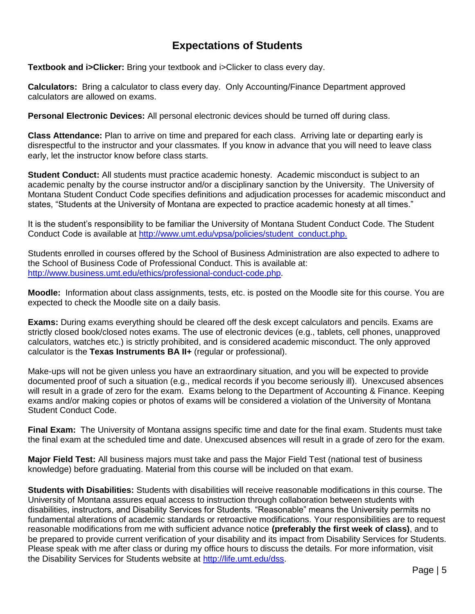# **Expectations of Students**

**Textbook and i>Clicker:** Bring your textbook and i>Clicker to class every day.

**Calculators:** Bring a calculator to class every day. Only Accounting/Finance Department approved calculators are allowed on exams.

**Personal Electronic Devices:** All personal electronic devices should be turned off during class.

**Class Attendance:** Plan to arrive on time and prepared for each class. Arriving late or departing early is disrespectful to the instructor and your classmates. If you know in advance that you will need to leave class early, let the instructor know before class starts.

**Student Conduct:** All students must practice academic honesty. Academic misconduct is subject to an academic penalty by the course instructor and/or a disciplinary sanction by the University. The University of Montana Student Conduct Code specifies definitions and adjudication processes for academic misconduct and states, "Students at the University of Montana are expected to practice academic honesty at all times."

It is the student's responsibility to be familiar the University of Montana Student Conduct Code. The Student Conduct Code is available at [http://www.umt.edu/vpsa/policies/student\\_conduct.php.](http://www.umt.edu/vpsa/policies/student_conduct.php)

Students enrolled in courses offered by the School of Business Administration are also expected to adhere to the School of Business Code of Professional Conduct. This is available at: [http://www.business.umt.edu/ethics/professional-conduct-code.php.](http://www.business.umt.edu/ethics/professional-conduct-code.php)

**Moodle:** Information about class assignments, tests, etc. is posted on the Moodle site for this course. You are expected to check the Moodle site on a daily basis.

**Exams:** During exams everything should be cleared off the desk except calculators and pencils. Exams are strictly closed book/closed notes exams. The use of electronic devices (e.g., tablets, cell phones, unapproved calculators, watches etc.) is strictly prohibited, and is considered academic misconduct. The only approved calculator is the **Texas Instruments BA II+** (regular or professional).

Make-ups will not be given unless you have an extraordinary situation, and you will be expected to provide documented proof of such a situation (e.g., medical records if you become seriously ill). Unexcused absences will result in a grade of zero for the exam. Exams belong to the Department of Accounting & Finance. Keeping exams and/or making copies or photos of exams will be considered a violation of the University of Montana Student Conduct Code.

**Final Exam:** The University of Montana assigns specific time and date for the final exam. Students must take the final exam at the scheduled time and date. Unexcused absences will result in a grade of zero for the exam.

**Major Field Test:** All business majors must take and pass the Major Field Test (national test of business knowledge) before graduating. Material from this course will be included on that exam.

**Students with Disabilities:** Students with disabilities will receive reasonable modifications in this course. The University of Montana assures equal access to instruction through collaboration between students with disabilities, instructors, and Disability Services for Students. "Reasonable" means the University permits no fundamental alterations of academic standards or retroactive modifications. Your responsibilities are to request reasonable modifications from me with sufficient advance notice **(preferably the first week of class)**, and to be prepared to provide current verification of your disability and its impact from Disability Services for Students. Please speak with me after class or during my office hours to discuss the details. For more information, visit the Disability Services for Students website at [http://life.umt.edu/dss.](http://life.umt.edu/dss)